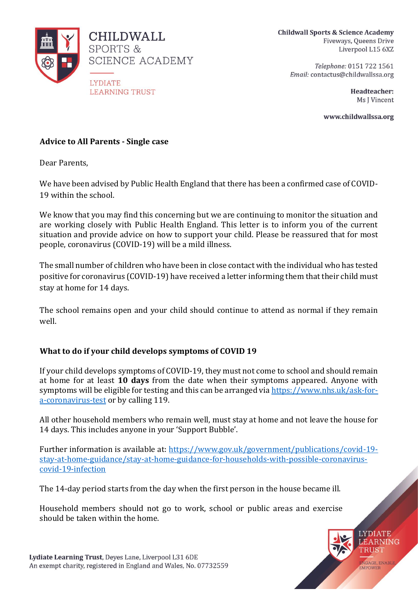

**Childwall Sports & Science Academy** Fiveways, Queens Drive Liverpool L15 6XZ

Telephone: 0151 722 1561 Email: contactus@childwallssa.org

> Headteacher: Ms J Vincent

www.childwallssa.org

### **Advice to All Parents - Single case**

Dear Parents,

We have been advised by Public Health England that there has been a confirmed case of COVID-19 within the school.

We know that you may find this concerning but we are continuing to monitor the situation and are working closely with Public Health England. This letter is to inform you of the current situation and provide advice on how to support your child. Please be reassured that for most people, coronavirus (COVID-19) will be a mild illness.

The small number of children who have been in close contact with the individual who has tested positive for coronavirus (COVID-19) have received a letter informing them that their child must stay at home for 14 days.

The school remains open and your child should continue to attend as normal if they remain well.

# **What to do if your child develops symptoms of COVID 19**

If your child develops symptoms of COVID-19, they must not come to school and should remain at home for at least **10 days** from the date when their symptoms appeared. Anyone with symptoms will be eligible for testing and this can be arranged via [https://www.nhs.uk/ask-for](https://www.nhs.uk/ask-for-a-coronavirus-test)[a-coronavirus-test](https://www.nhs.uk/ask-for-a-coronavirus-test) or by calling 119.

All other household members who remain well, must stay at home and not leave the house for 14 days. This includes anyone in your 'Support Bubble'.

Further information is available at: [https://www.gov.uk/government/publications/covid-19](https://www.gov.uk/government/publications/covid-19-stay-at-home-guidance/stay-at-home-guidance-for-households-with-possible-coronavirus-covid-19-infection) [stay-at-home-guidance/stay-at-home-guidance-for-households-with-possible-coronavirus](https://www.gov.uk/government/publications/covid-19-stay-at-home-guidance/stay-at-home-guidance-for-households-with-possible-coronavirus-covid-19-infection)[covid-19-infection](https://www.gov.uk/government/publications/covid-19-stay-at-home-guidance/stay-at-home-guidance-for-households-with-possible-coronavirus-covid-19-infection)

The 14-day period starts from the day when the first person in the house became ill.

Household members should not go to work, school or public areas and exercise should be taken within the home.